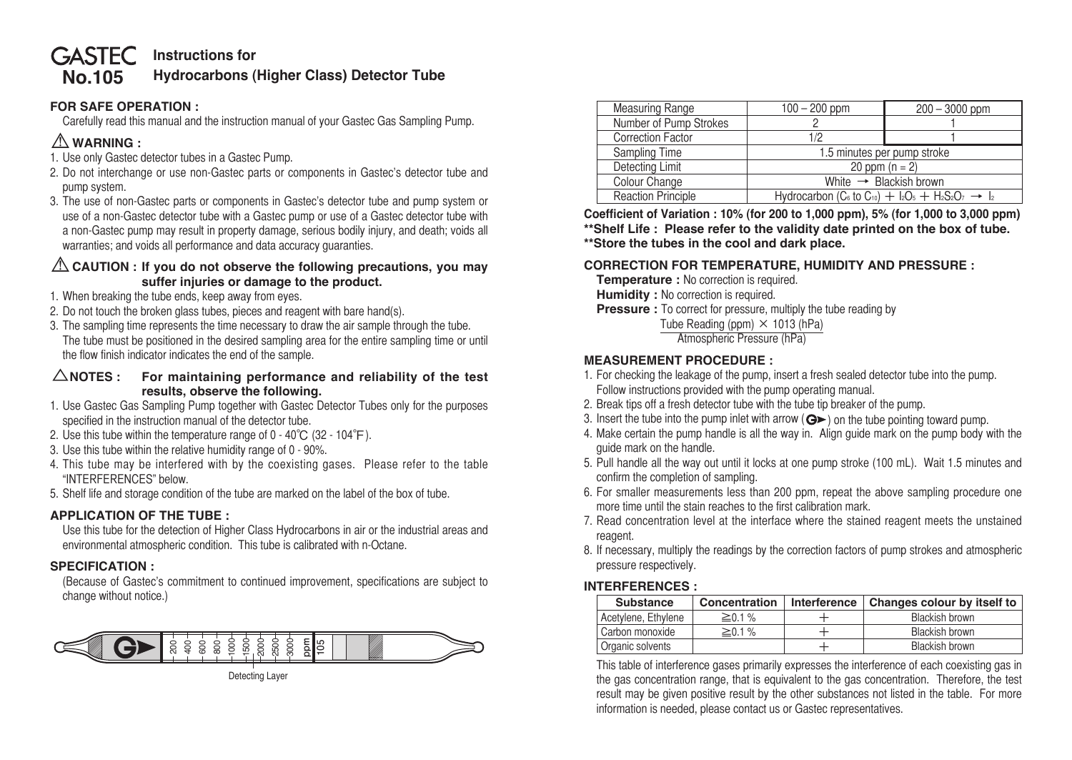#### **No.105 GASTEC** Instructions for **Hydrocarbons (Higher Class) Detector Tube**

# **FOR SAFE OPERATION :**

 Carefully read this manual and the instruction manual of your Gastec Gas Sampling Pump.

# ⚠**WARNING :**

- 1. Use only Gastec detector tubes in a Gastec Pump.
- 2. Do not interchange or use non-Gastec parts or components in Gastec's detector tube and pump system.
- 3. The use of non-Gastec parts or components in Gastec's detector tube and pump system or use of a non-Gastec detector tube with a Gastec pump or use of a Gastec detector tube with a non-Gastec pump may result in property damage, serious bodily injury, and death; voids all warranties; and voids all performance and data accuracy guaranties.

### ⚠**CAUTION : If you do not observe the following precautions, you may suffer injuries or damage to the product.**

- 1. When breaking the tube ends, keep away from eyes.
- 2. Do not touch the broken glass tubes, pieces and reagent with bare hand(s).
- 3. The sampling time represents the time necessary to draw the air sample through the tube. The tube must be positioned in the desired sampling area for the entire sampling time or until the flow finish indicator indicates the end of the sample.

#### △**NOTES : For maintaining performance and reliability of the test results, observe the following.**

- 1. Use Gastec Gas Sampling Pump together with Gastec Detector Tubes only for the purposes specified in the instruction manual of the detector tube.
- 2. Use this tube within the temperature range of  $0 40^{\circ}C$  (32 104 $^{\circ}F$ ).
- 3. Use this tube within the relative humidity range of 0 90%.
- 4. This tube may be interfered with by the coexisting gases. Please refer to the table "INTERFERENCES" below.
- 5. Shelf life and storage condition of the tube are marked on the label of the box of tube.

### **APPLICATION OF THE TUBE :**

 Use this tube for the detection of Higher Class Hydrocarbons in air or the industrial areas and environmental atmospheric condition. This tube is calibrated with n-Octane.

### **SPECIFICATION :**

 (Because of Gastec's commitment to continued improvement, specifications are subject to change without notice.)



Detecting Layer

| Measuring Range           | $100 - 200$ ppm                                                                         | $200 - 3000$ ppm |  |
|---------------------------|-----------------------------------------------------------------------------------------|------------------|--|
| Number of Pump Strokes    |                                                                                         |                  |  |
| <b>Correction Factor</b>  | 1/2                                                                                     |                  |  |
| Sampling Time             | 1.5 minutes per pump stroke                                                             |                  |  |
| Detecting Limit           | 20 ppm $(n = 2)$                                                                        |                  |  |
| Colour Change             | White $\rightarrow$ Blackish brown                                                      |                  |  |
| <b>Reaction Principle</b> | Hydrocarbon (C <sub>6</sub> to C <sub>10</sub> ) + $ _2O_5 + H_2S_2O_7 \rightarrow  _2$ |                  |  |

**Coefficient of Variation : 10% (for 200 to 1,000 ppm), 5% (for 1,000 to 3,000 ppm) \*\*Shelf Life : Please refer to the validity date printed on the box of tube. \*\*Store the tubes in the cool and dark place.**

# **CORRECTION FOR TEMPERATURE, HUMIDITY AND PRESSURE :**

**Temperature :** No correction is required. **Humidity :** No correction is required. **Pressure :** To correct for pressure, multiply the tube reading by Tube Reading (ppm)  $\times$  1013 (hPa) Atmospheric Pressure (hPa)

# **MEASUREMENT PROCEDURE :**

- 1. For checking the leakage of the pump, insert a fresh sealed detector tube into the pump. Follow instructions provided with the pump operating manual.
- 2. Break tips off a fresh detector tube with the tube tip breaker of the pump.
- 3. Insert the tube into the pump inlet with arrow  $(Q \triangleright)$  on the tube pointing toward pump.
- 4. Make certain the pump handle is all the way in. Align guide mark on the pump body with the guide mark on the handle.
- 5. Pull handle all the way out until it locks at one pump stroke (100 mL). Wait 1.5 minutes and confirm the completion of sampling.
- 6. For smaller measurements less than 200 ppm, repeat the above sampling procedure one more time until the stain reaches to the first calibration mark.
- 7. Read concentration level at the interface where the stained reagent meets the unstained reagent.
- 8. If necessary, multiply the readings by the correction factors of pump strokes and atmospheric pressure respectively.

### **INTERFERENCES :**

| <b>Substance</b>    | Concentration | Interference   Changes colour by itself to |
|---------------------|---------------|--------------------------------------------|
| Acetylene, Ethylene | $\geq 0.1 \%$ | Blackish brown                             |
| Carbon monoxide     | $\geq$ 0.1%   | Blackish brown                             |
| Organic solvents    |               | Blackish brown                             |

 This table of interference gases primarily expresses the interference of each coexisting gas in the gas concentration range, that is equivalent to the gas concentration. Therefore, the test result may be given positive result by the other substances not listed in the table. For more information is needed, please contact us or Gastec representatives.